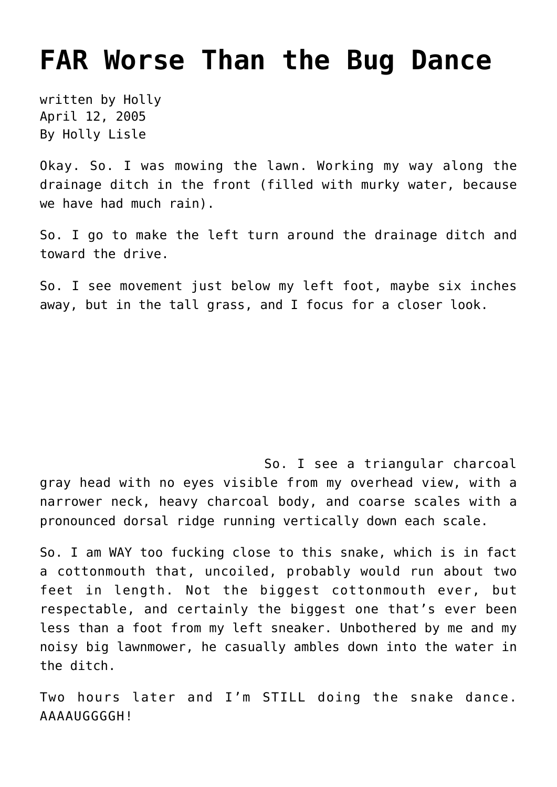## **[FAR Worse Than the Bug Dance](https://hollylisle.com/far-worse-than-the-bug-dance/)**

written by Holly April 12, 2005 [By Holly Lisle](https://hollylisle.com)

Okay. So. I was mowing the lawn. Working my way along the drainage ditch in the front (filled with murky water, because we have had much rain).

So. I go to make the left turn around the drainage ditch and toward the drive.

So. I see movement just below my left foot, maybe six inches away, but in the tall grass, and I focus for a closer look.

So. I see a triangular charcoal gray head with no eyes visible from my overhead view, with a narrower neck, heavy charcoal body, and coarse scales with a pronounced dorsal ridge running vertically down each scale.

So. I am WAY too fucking close to this snake, which is in fact a cottonmouth that, uncoiled, probably would run about two feet in length. Not the biggest cottonmouth ever, but respectable, and certainly the biggest one that's ever been less than a foot from my left sneaker. Unbothered by me and my noisy big lawnmower, he casually ambles down into the water in the ditch.

Two hours later and I'm STILL doing the snake dance. AAAAUGGGGH!